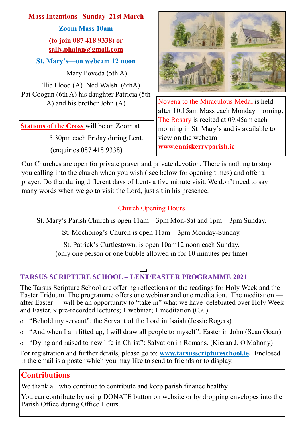

**www.enniskerryparish.ie**

Our Churches are open for private prayer and private devotion. There is nothing to stop you calling into the church when you wish ( see below for opening times) and offer a prayer. Do that during different days of Lent- a five minute visit. We don't need to say many words when we go to visit the Lord, just sit in his presence.

(enquiries 087 418 9338)

### Church Opening Hours

St. Mary's Parish Church is open 11am—3pm Mon-Sat and 1pm—3pm Sunday.

St. Mochonog's Church is open 11am—3pm Monday-Sunday.

St. Patrick's Curtlestown, is open 10am12 noon each Sunday. (only one person or one bubble allowed in for 10 minutes per time)

# **TARSUS SCRIPTURE SCHOOL – LENT/EASTER PROGRAMME 2021**

The Tarsus Scripture School are offering reflections on the readings for Holy Week and the Easter Triduum. The programme offers one webinar and one meditation. The meditation after Easter — will be an opportunity to "take in" what we have celebrated over Holy Week and Easter. 9 pre-recorded lectures; 1 webinar; 1 meditation  $(630)$ 

- "Behold my servant": the Servant of the Lord in Isaiah (Jessie Rogers)
- "And when I am lifted up, I will draw all people to myself": Easter in John (Sean Goan)
- "Dying and raised to new life in Christ": Salvation in Romans. (Kieran J. O'Mahony)

For registration and further details, please go to: **[www.tarsusscriptureschool.ie.](http://www.tarsusscriptureschool.ie)** Enclosed in the email is a poster which you may like to send to friends or to display.

# **Contributions**

We thank all who continue to contribute and keep parish finance healthy

You can contribute by using DONATE button on website or by dropping envelopes into the Parish Office during Office Hours.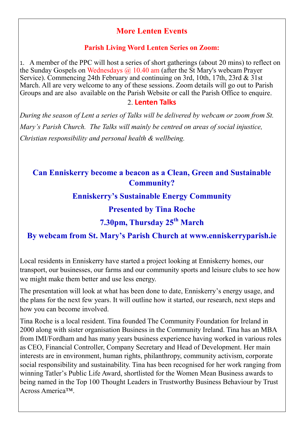### **More Lenten Events**

#### **Parish Living Word Lenten Series on Zoom:**

1. A member of the PPC will host a series of short gatherings (about 20 mins) to reflect on the Sunday Gospels on Wednesdays  $\omega$  10.40 am (after the St Mary's webcam Prayer Service). Commencing 24th February and continuing on 3rd, 10th, 17th, 23rd & 31st March. All are very welcome to any of these sessions. Zoom details will go out to Parish Groups and are also available on the Parish Website or call the Parish Office to enquire. 2. **Lenten Talks**

*During the season of Lent a series of Talks will be delivered by webcam or zoom from St. Mary's Parish Church. The Talks will mainly be centred on areas of social injustice, Christian responsibility and personal health & wellbeing.* 

### **Can Enniskerry become a beacon as a Clean, Green and Sustainable Community?**

#### **Enniskerry's Sustainable Energy Community**

#### **Presented by Tina Roche**

# **7.30pm, Thursday 25th March**

#### **By webcam from St. Mary's Parish Church at www.enniskerryparish.ie**

Local residents in Enniskerry have started a project looking at Enniskerry homes, our transport, our businesses, our farms and our community sports and leisure clubs to see how we might make them better and use less energy.

The presentation will look at what has been done to date, Enniskerry's energy usage, and the plans for the next few years. It will outline how it started, our research, next steps and how you can become involved.

Tina Roche is a local resident. Tina founded The Community Foundation for Ireland in 2000 along with sister organisation Business in the Community Ireland. Tina has an MBA from IMI/Fordham and has many years business experience having worked in various roles as CEO, Financial Controller, Company Secretary and Head of Development. Her main interests are in environment, human rights, philanthropy, community activism, corporate social responsibility and sustainability. Tina has been recognised for her work ranging from winning Tatler's Public Life Award, shortlisted for the Women Mean Business awards to being named in the Top 100 Thought Leaders in Trustworthy Business Behaviour by Trust Across America™.